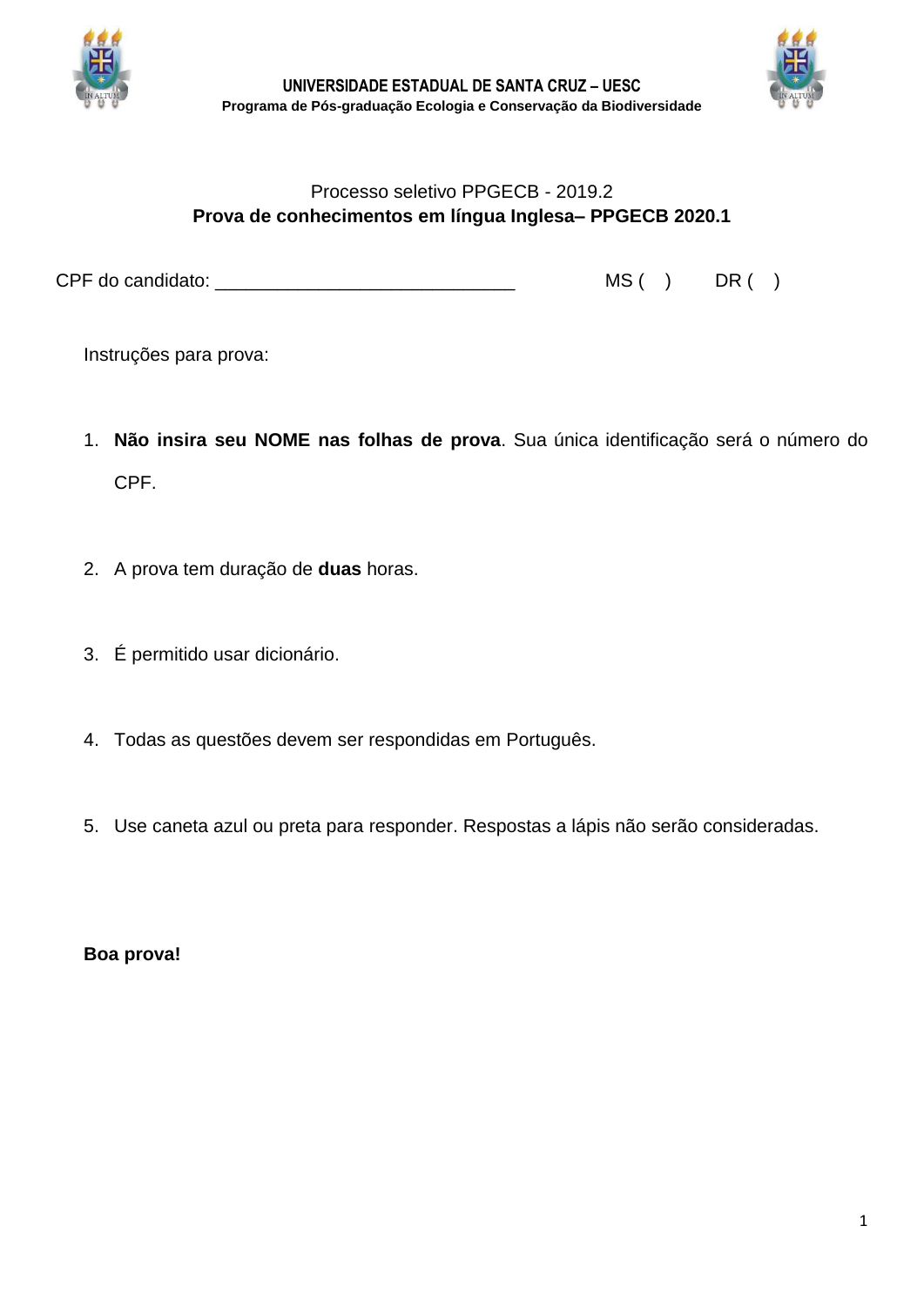



## Processo seletivo PPGECB - 2019.2 **Prova de conhecimentos em língua Inglesa– PPGECB 2020.1**

CPF do candidato: \_\_\_\_\_\_\_\_\_\_\_\_\_\_\_\_\_\_\_\_\_\_\_\_\_\_\_\_\_ MS ( ) DR ( )

Instruções para prova:

- 1. **Não insira seu NOME nas folhas de prova**. Sua única identificação será o número do CPF.
- 2. A prova tem duração de **duas** horas.
- 3. É permitido usar dicionário.
- 4. Todas as questões devem ser respondidas em Português.
- 5. Use caneta azul ou preta para responder. Respostas a lápis não serão consideradas.

**Boa prova!**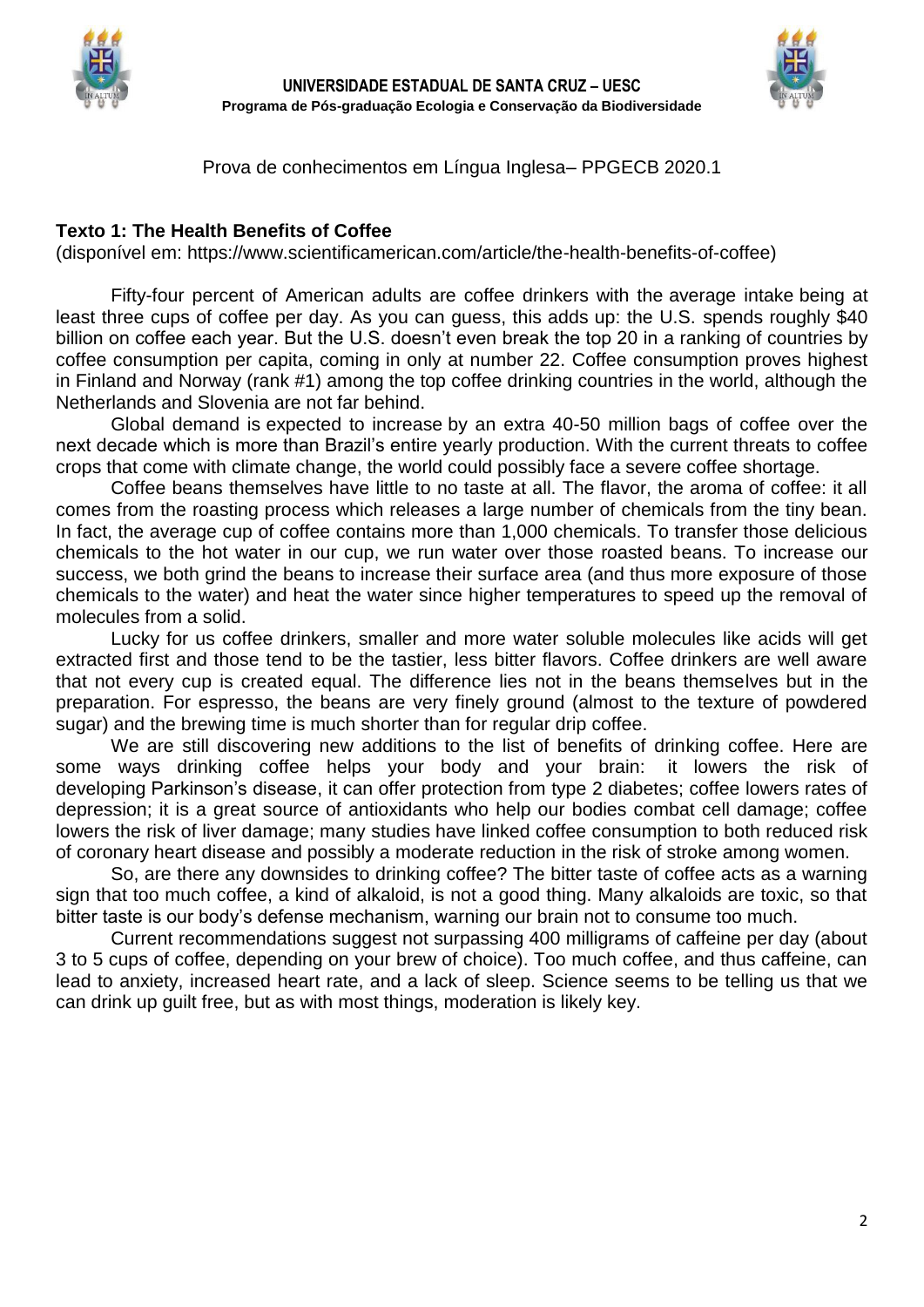



Prova de conhecimentos em Língua Inglesa– PPGECB 2020.1

## **Texto 1: The Health Benefits of Coffee**

(disponível em: https://www.scientificamerican.com/article/the-health-benefits-of-coffee)

Fifty-four percent of American adults are coffee drinkers with the [average intake](https://www.hsph.harvard.edu/news/multimedia-article/facts/) being at least three cups of coffee per day. As you can guess, this adds up: the U.S. spends roughly \$40 billion on coffee each year. But the U.S. doesn't even break the top 20 in [a ranking](http://www.caffeineinformer.com/caffeine-what-the-world-drinks) of countries by coffee consumption per capita, coming in only at number 22. Coffee consumption proves highest in Finland and Norway (rank #1) among the top coffee drinking countries in the world, although the Netherlands and Slovenia are not far behind.

Global demand is [expected to increase](http://www.bloomberg.com/news/articles/2015-10-01/global-coffee-shortage-looms-as-market-braces-for-climate-change) by an extra 40-50 million bags of coffee over the next decade which is more than Brazil's entire yearly production. With the current threats to coffee crops that come with climate change, the world could possibly face a severe coffee shortage.

Coffee beans themselves have little to no taste at all. The flavor, the aroma of coffee: it all comes from the roasting process which releases a large number of chemicals from the tiny bean. In fact, the average cup of coffee contains more than 1,000 chemicals. To transfer those delicious chemicals to the hot water in our cup, we run water over those roasted beans. To increase our success, we both grind the beans to increase their surface area (and thus more exposure of those chemicals to the water) and heat the water since higher temperatures to speed up the removal of molecules from a solid.

Lucky for us coffee drinkers, smaller and more water soluble molecules like acids will get extracted first and those tend to be the tastier, less bitter flavors. Coffee drinkers are well aware that not every cup is created equal. The difference lies not in the beans themselves but in the preparation. For espresso, the beans are very finely ground (almost to the texture of powdered sugar) and the brewing time is much shorter than for regular drip coffee.

We are still discovering new additions to the list of benefits of drinking coffee. Here are some ways drinking coffee helps your body and your brain: it lowers the risk of developing [Parkinson's disease,](https://www.quickanddirtytips.com/education/science/understanding-parkinsons-disease-an-interview-with-jon-palfreman) it can offer protection from type 2 diabetes; coffee lowers rates of depression; it is a great source of antioxidants who help our bodies combat cell damage; coffee lowers the risk of liver damage; many [studies](http://www.ncbi.nlm.nih.gov/pubmed/20562351) have linked coffee consumption to both reduced risk of coronary heart disease and possibly a [moderate reduction](http://www.ncbi.nlm.nih.gov/pubmed/19221216) in the risk of stroke among women.

So, are there any downsides to drinking coffee? The bitter taste of coffee acts as a warning sign that too much coffee, a kind of alkaloid, is not a good thing. Many alkaloids are toxic, so that bitter taste is our body's defense mechanism, warning our brain not to consume too much.

Current recommendations suggest not surpassing 400 milligrams of caffeine per day (about 3 to 5 cups of coffee, depending on your brew of choice). Too much coffee, and thus caffeine, can lead to anxiety, increased heart rate, and a lack of sleep. Science seems to be telling us that we can drink up guilt free, but as with most things, moderation is likely key.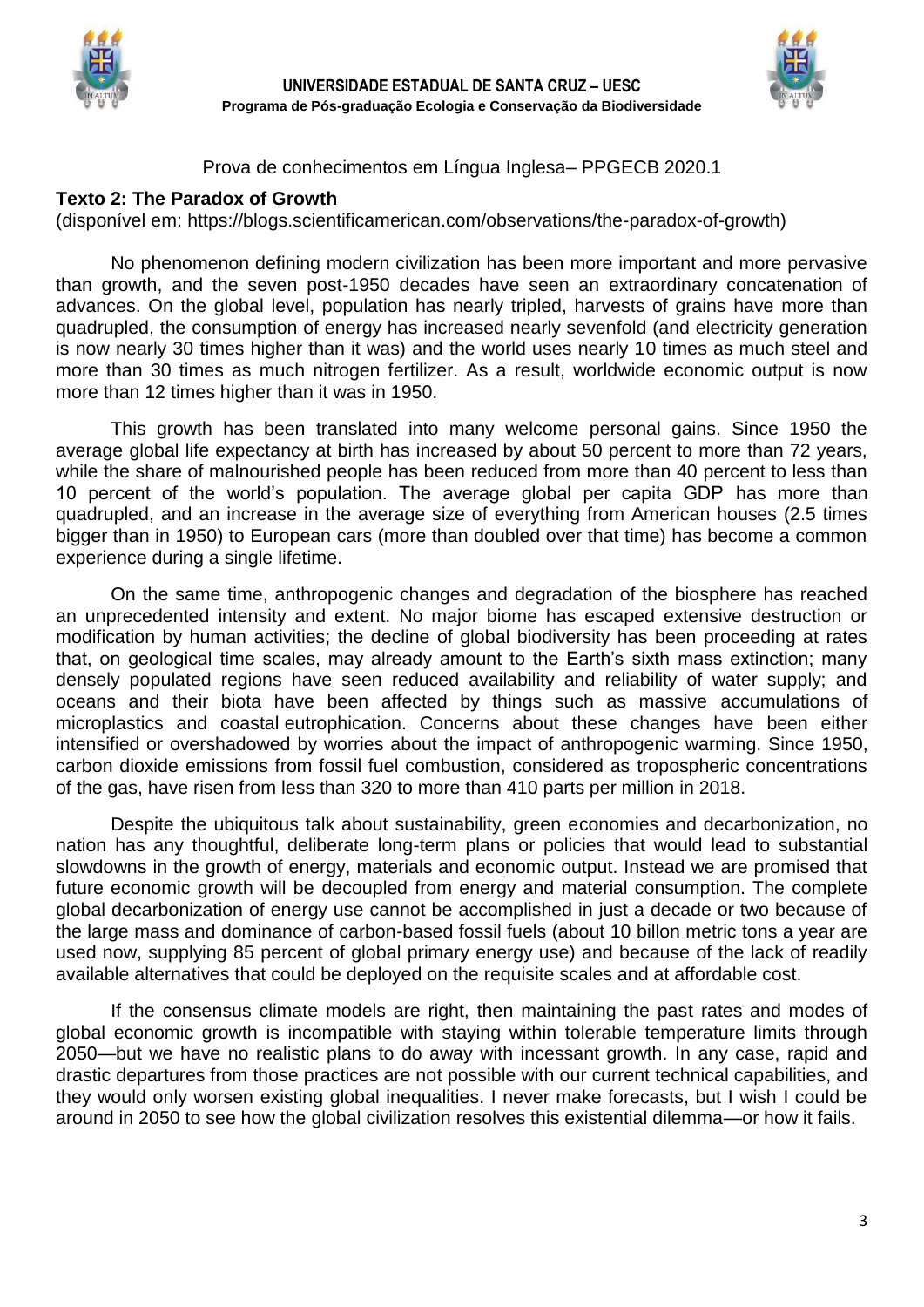



Prova de conhecimentos em Língua Inglesa– PPGECB 2020.1

## **Texto 2: The Paradox of Growth**

(disponível em: https://blogs.scientificamerican.com/observations/the-paradox-of-growth)

No phenomenon defining modern civilization has been more important and more pervasive than growth, and the seven post-1950 decades have seen an extraordinary concatenation of advances. On the global level, population has nearly tripled, harvests of grains have more than quadrupled, the consumption of energy has increased nearly sevenfold (and electricity generation is now nearly 30 times higher than it was) and the world uses nearly 10 times as much steel and more than 30 times as much nitrogen fertilizer. As a result, worldwide economic output is now more than 12 times higher than it was in 1950.

This growth has been translated into many welcome personal gains. Since 1950 the average global life expectancy at birth has increased by about 50 percent to more than 72 years, while the share of malnourished people has been reduced from more than 40 percent to less than 10 percent of the world's population. The average global per capita GDP has more than quadrupled, and an increase in the average size of everything from American houses (2.5 times bigger than in 1950) to European cars (more than doubled over that time) has become a common experience during a single lifetime.

On the same time, anthropogenic changes and degradation of the biosphere has reached an unprecedented intensity and extent. No major biome has escaped extensive destruction or modification by human activities; the decline of global biodiversity has been proceeding at rates that, on geological time scales, may already amount to the Earth's sixth mass extinction; many densely populated regions have seen reduced availability and reliability of water supply; and oceans and their biota have been affected by things such as massive accumulations of microplastics and coastal [eutrophication.](https://oceanservice.noaa.gov/facts/eutrophication.html) Concerns about these changes have been either intensified or overshadowed by worries about the impact of anthropogenic warming. Since 1950, carbon dioxide emissions from fossil fuel combustion, considered as tropospheric concentrations of the gas, have risen from less than 320 to more than 410 parts per million in 2018.

Despite the ubiquitous talk about sustainability, green economies and decarbonization, no nation has any thoughtful, deliberate long-term plans or policies that would lead to substantial slowdowns in the growth of energy, materials and economic output. Instead we are promised that future economic growth will be decoupled from energy and material consumption. The complete global decarbonization of energy use cannot be accomplished in just a decade or two because of the large mass and dominance of carbon-based fossil fuels (about 10 billon metric tons a year are used now, supplying 85 percent of global primary energy use) and because of the lack of readily available alternatives that could be deployed on the requisite scales and at affordable cost.

If the consensus climate models are right, then maintaining the past rates and modes of global economic growth is incompatible with staying within tolerable temperature limits through 2050—but we have no realistic plans to do away with incessant growth. In any case, rapid and drastic departures from those practices are not possible with our current technical capabilities, and they would only worsen existing global inequalities. I never make forecasts, but I wish I could be around in 2050 to see how the global civilization resolves this existential dilemma—or how it fails.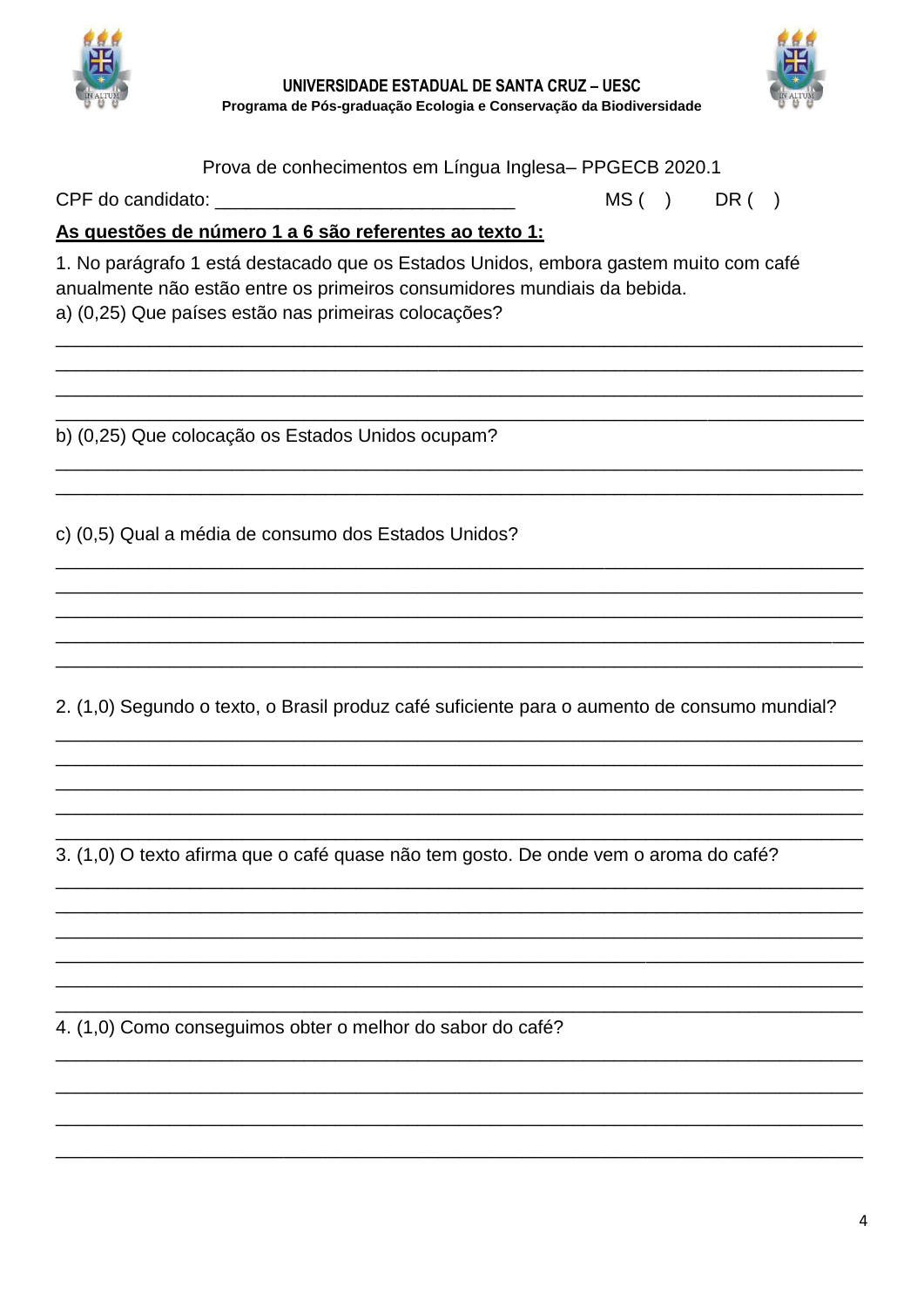

UNIVERSIDADE ESTADUAL DE SANTA CRUZ - UESC Programa de Pós-graduação Ecologia e Conservação da Biodiversidade



Prova de conhecimentos em Língua Inglesa-PPGECB 2020.1

CPF do candidato:

 $MS( )$  $DR( )$ 

As questões de número 1 a 6 são referentes ao texto 1:

1. No parágrafo 1 está destacado que os Estados Unidos, embora gastem muito com café anualmente não estão entre os primeiros consumidores mundiais da bebida. a) (0,25) Que países estão nas primeiras colocações?

b) (0,25) Que colocação os Estados Unidos ocupam?

c) (0.5) Qual a média de consumo dos Estados Unidos?

2. (1,0) Segundo o texto, o Brasil produz café suficiente para o aumento de consumo mundial?

3. (1,0) O texto afirma que o café quase não tem gosto. De onde vem o aroma do café?

4. (1.0) Como conseguimos obter o melhor do sabor do café?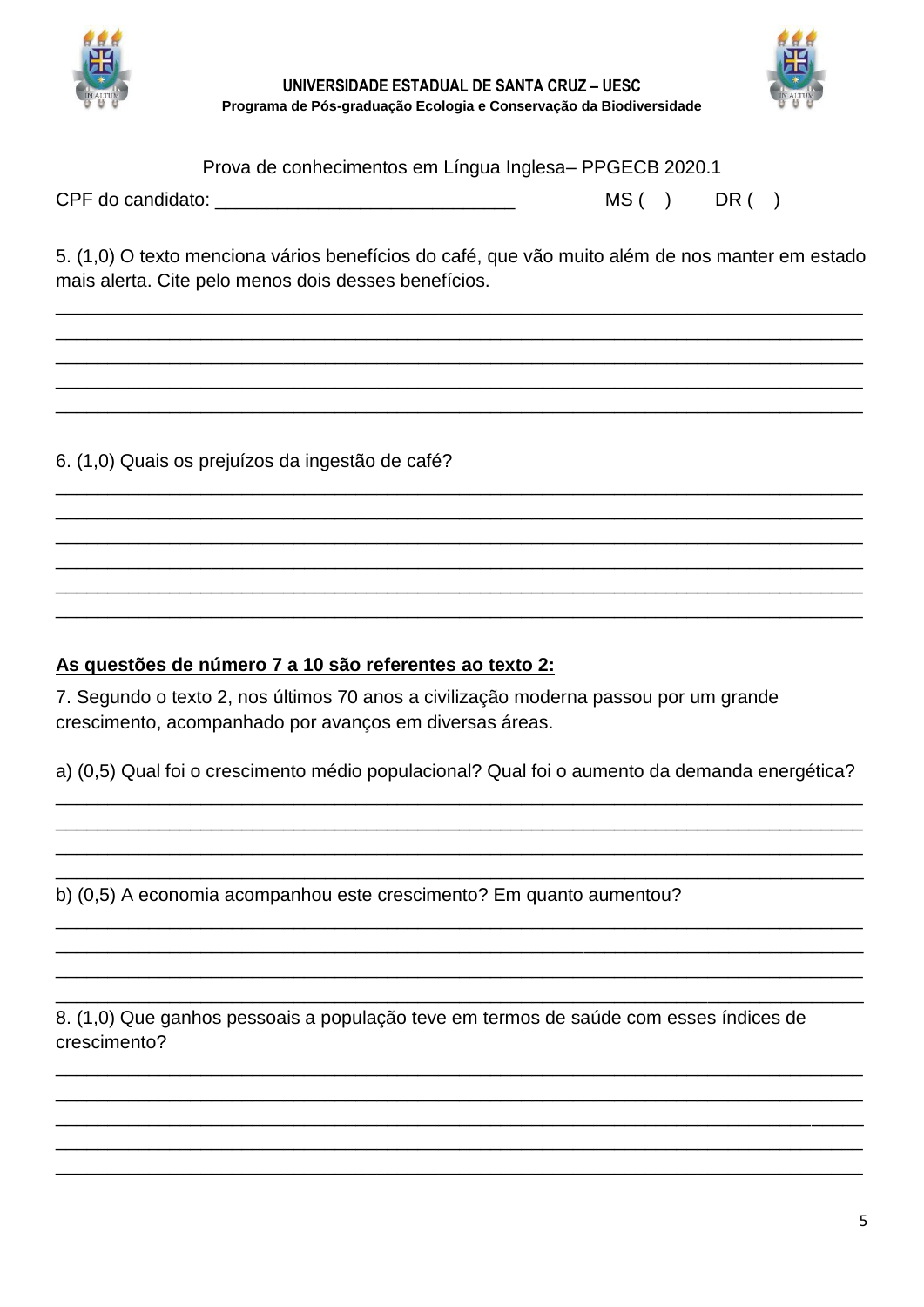

UNIVERSIDADE ESTADUAL DE SANTA CRUZ - UESC Programa de Pós-graduação Ecologia e Conservação da Biodiversidade



Prova de conhecimentos em Língua Inglesa-PPGECB 2020.1

| CPF do candidato: | MS | DR |  |
|-------------------|----|----|--|
|-------------------|----|----|--|

5. (1,0) O texto menciona vários benefícios do café, que vão muito além de nos manter em estado mais alerta. Cite pelo menos dois desses benefícios.

6. (1,0) Quais os prejuízos da ingestão de café?

## As questões de número 7 a 10 são referentes ao texto 2:

7. Segundo o texto 2, nos últimos 70 anos a civilização moderna passou por um grande crescimento, acompanhado por avanços em diversas áreas.

a) (0,5) Qual foi o crescimento médio populacional? Qual foi o aumento da demanda energética?

b) (0,5) A economia acompanhou este crescimento? Em quanto aumentou?

8. (1,0) Que ganhos pessoais a população teve em termos de saúde com esses índices de crescimento?